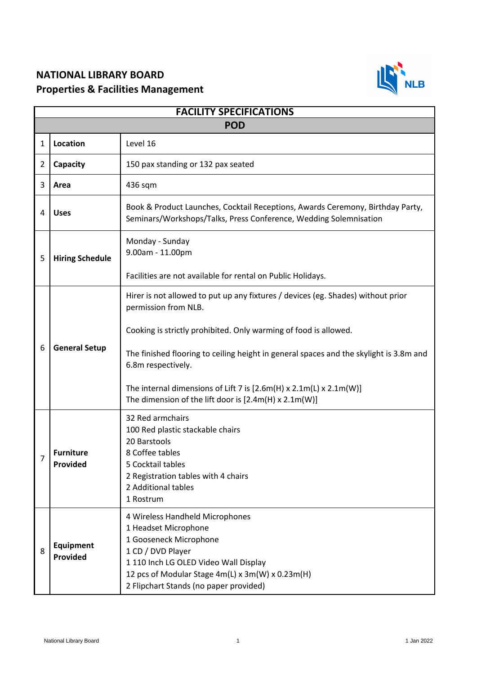## **NATIONAL LIBRARY BOARD Properties & Facilities Management**



| <b>FACILITY SPECIFICATIONS</b> |                              |                                                                                                                                                                                                                                                                                                                                                                                                                                                |  |  |
|--------------------------------|------------------------------|------------------------------------------------------------------------------------------------------------------------------------------------------------------------------------------------------------------------------------------------------------------------------------------------------------------------------------------------------------------------------------------------------------------------------------------------|--|--|
| <b>POD</b>                     |                              |                                                                                                                                                                                                                                                                                                                                                                                                                                                |  |  |
| 1                              | Location                     | Level 16                                                                                                                                                                                                                                                                                                                                                                                                                                       |  |  |
| 2                              | Capacity                     | 150 pax standing or 132 pax seated                                                                                                                                                                                                                                                                                                                                                                                                             |  |  |
| 3                              | Area                         | 436 sqm                                                                                                                                                                                                                                                                                                                                                                                                                                        |  |  |
| 4                              | <b>Uses</b>                  | Book & Product Launches, Cocktail Receptions, Awards Ceremony, Birthday Party,<br>Seminars/Workshops/Talks, Press Conference, Wedding Solemnisation                                                                                                                                                                                                                                                                                            |  |  |
| 5                              | <b>Hiring Schedule</b>       | Monday - Sunday<br>9.00am - 11.00pm                                                                                                                                                                                                                                                                                                                                                                                                            |  |  |
|                                |                              | Facilities are not available for rental on Public Holidays.                                                                                                                                                                                                                                                                                                                                                                                    |  |  |
| 6                              | <b>General Setup</b>         | Hirer is not allowed to put up any fixtures / devices (eg. Shades) without prior<br>permission from NLB.<br>Cooking is strictly prohibited. Only warming of food is allowed.<br>The finished flooring to ceiling height in general spaces and the skylight is 3.8m and<br>6.8m respectively.<br>The internal dimensions of Lift 7 is $[2.6m(H) \times 2.1m(L) \times 2.1m(W)]$<br>The dimension of the lift door is $[2.4m(H) \times 2.1m(W)]$ |  |  |
| 7                              | <b>Furniture</b><br>Provided | 32 Red armchairs<br>100 Red plastic stackable chairs<br>20 Barstools<br>8 Coffee tables<br>5 Cocktail tables<br>2 Registration tables with 4 chairs<br>2 Additional tables<br>1 Rostrum                                                                                                                                                                                                                                                        |  |  |
| 8                              | Equipment<br>Provided        | 4 Wireless Handheld Microphones<br>1 Headset Microphone<br>1 Gooseneck Microphone<br>1 CD / DVD Player<br>1 110 Inch LG OLED Video Wall Display<br>12 pcs of Modular Stage 4m(L) x 3m(W) x 0.23m(H)<br>2 Flipchart Stands (no paper provided)                                                                                                                                                                                                  |  |  |